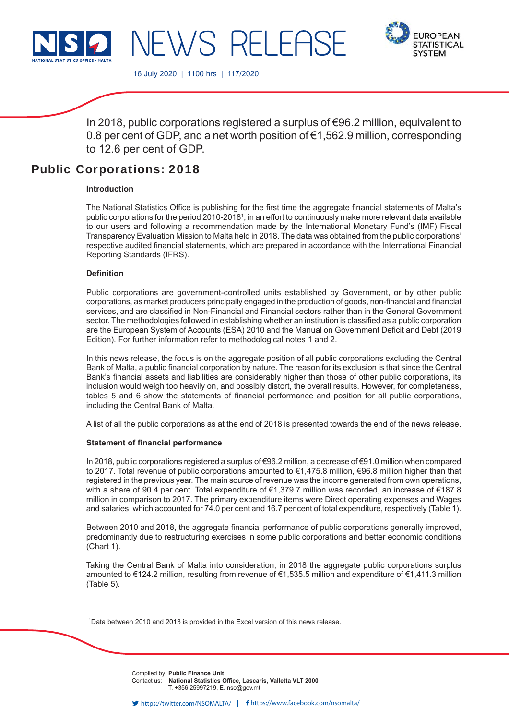



16 July 2020 | 1100 hrs | 117/2020

NEWS RELEAS

In 2018, public corporations registered a surplus of €96.2 million, equivalent to 0.8 per cent of GDP, and a net worth position of €1,562.9 million, corresponding to 12.6 per cent of GDP.

# Public Corporations: 2018

### **Introduction**

The National Statistics Office is publishing for the first time the aggregate financial statements of Malta's public corporations for the period 2010-2018<sup>1</sup>, in an effort to continuously make more relevant data available to our users and following a recommendation made by the International Monetary Fund's (IMF) Fiscal Transparency Evaluation Mission to Malta held in 2018. The data was obtained from the public corporations' respective audited financial statements, which are prepared in accordance with the International Financial Reporting Standards (IFRS).

### **Defi nition**

Public corporations are government-controlled units established by Government, or by other public corporations, as market producers principally engaged in the production of goods, non-financial and financial services, and are classified in Non-Financial and Financial sectors rather than in the General Government sector. The methodologies followed in establishing whether an institution is classified as a public corporation are the European System of Accounts (ESA) 2010 and the Manual on Government Deficit and Debt (2019 Edition). For further information refer to methodological notes 1 and 2.

In this news release, the focus is on the aggregate position of all public corporations excluding the Central Bank of Malta, a public financial corporation by nature. The reason for its exclusion is that since the Central Bank's financial assets and liabilities are considerably higher than those of other public corporations, its inclusion would weigh too heavily on, and possibly distort, the overall results. However, for completeness, tables 5 and 6 show the statements of financial performance and position for all public corporations, including the Central Bank of Malta.

A list of all the public corporations as at the end of 2018 is presented towards the end of the news release.

### **Statement of financial performance**

In 2018, public corporations registered a surplus of €96.2 million, a decrease of €91.0 million when compared to 2017. Total revenue of public corporations amounted to €1,475.8 million, €96.8 million higher than that registered in the previous year. The main source of revenue was the income generated from own operations, with a share of 90.4 per cent. Total expenditure of €1,379.7 million was recorded, an increase of €187.8 million in comparison to 2017. The primary expenditure items were Direct operating expenses and Wages and salaries, which accounted for 74.0 per cent and 16.7 per cent of total expenditure, respectively (Table 1).

Between 2010 and 2018, the aggregate financial performance of public corporations generally improved, predominantly due to restructuring exercises in some public corporations and better economic conditions (Chart 1).

Taking the Central Bank of Malta into consideration, in 2018 the aggregate public corporations surplus amounted to €124.2 million, resulting from revenue of €1,535.5 million and expenditure of €1,411.3 million (Table 5).

<sup>1</sup>Data between 2010 and 2013 is provided in the Excel version of this news release.

Compiled by: **Public Finance Unit** Contact us: National Statistics Office, Lascaris, Valletta VLT 2000 T. +356 25997219, E. nso@gov.mt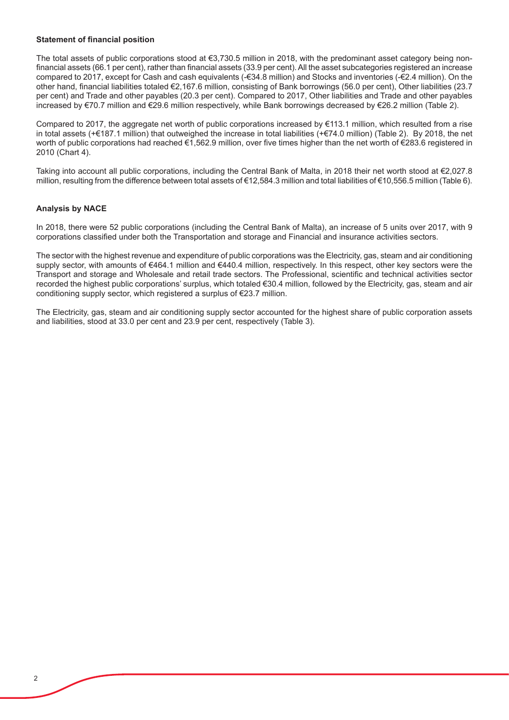### **Statement of financial position**

The total assets of public corporations stood at €3,730.5 million in 2018, with the predominant asset category being nonfinancial assets (66.1 per cent), rather than financial assets (33.9 per cent). All the asset subcategories registered an increase compared to 2017, except for Cash and cash equivalents (-€34.8 million) and Stocks and inventories (-€2.4 million). On the other hand, financial liabilities totaled €2,167.6 million, consisting of Bank borrowings (56.0 per cent), Other liabilities (23.7 per cent) and Trade and other payables (20.3 per cent). Compared to 2017, Other liabilities and Trade and other payables increased by €70.7 million and €29.6 million respectively, while Bank borrowings decreased by €26.2 million (Table 2).

Compared to 2017, the aggregate net worth of public corporations increased by €113.1 million, which resulted from a rise in total assets (+€187.1 million) that outweighed the increase in total liabilities (+€74.0 million) (Table 2). By 2018, the net worth of public corporations had reached €1,562.9 million, over five times higher than the net worth of €283.6 registered in 2010 (Chart 4).

Taking into account all public corporations, including the Central Bank of Malta, in 2018 their net worth stood at €2,027.8 million, resulting from the difference between total assets of €12,584.3 million and total liabilities of €10,556.5 million (Table 6).

# **Analysis by NACE**

In 2018, there were 52 public corporations (including the Central Bank of Malta), an increase of 5 units over 2017, with 9 corporations classified under both the Transportation and storage and Financial and insurance activities sectors.

The sector with the highest revenue and expenditure of public corporations was the Electricity, gas, steam and air conditioning supply sector, with amounts of €464.1 million and €440.4 million, respectively. In this respect, other key sectors were the Transport and storage and Wholesale and retail trade sectors. The Professional, scientific and technical activities sector recorded the highest public corporations' surplus, which totaled €30.4 million, followed by the Electricity, gas, steam and air conditioning supply sector, which registered a surplus of €23.7 million.

The Electricity, gas, steam and air conditioning supply sector accounted for the highest share of public corporation assets and liabilities, stood at 33.0 per cent and 23.9 per cent, respectively (Table 3).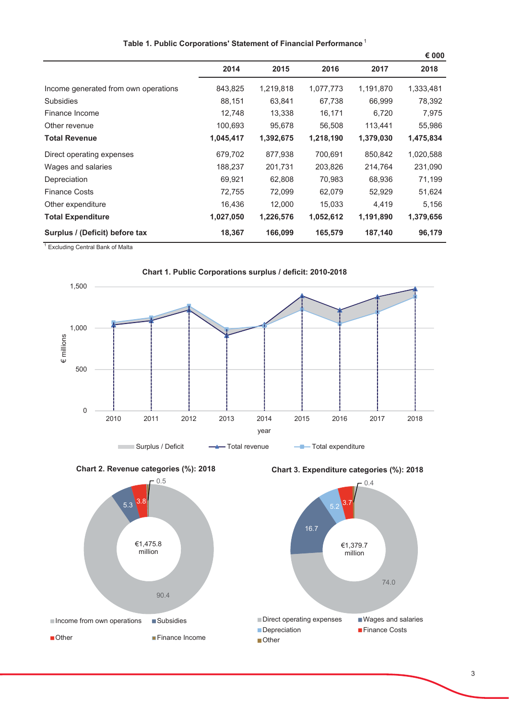|                                      |           |           |           |           | € 000     |
|--------------------------------------|-----------|-----------|-----------|-----------|-----------|
|                                      | 2014      | 2015      | 2016      | 2017      | 2018      |
| Income generated from own operations | 843,825   | 1,219,818 | 1,077,773 | 1,191,870 | 1,333,481 |
| <b>Subsidies</b>                     | 88,151    | 63,841    | 67,738    | 66,999    | 78,392    |
| Finance Income                       | 12,748    | 13,338    | 16,171    | 6,720     | 7,975     |
| Other revenue                        | 100,693   | 95,678    | 56,508    | 113,441   | 55,986    |
| <b>Total Revenue</b>                 | 1,045,417 | 1,392,675 | 1,218,190 | 1,379,030 | 1,475,834 |
| Direct operating expenses            | 679,702   | 877,938   | 700,691   | 850,842   | 1,020,588 |
| Wages and salaries                   | 188,237   | 201,731   | 203,826   | 214,764   | 231,090   |
| Depreciation                         | 69,921    | 62,808    | 70,983    | 68,936    | 71,199    |
| <b>Finance Costs</b>                 | 72,755    | 72,099    | 62,079    | 52,929    | 51,624    |
| Other expenditure                    | 16,436    | 12,000    | 15,033    | 4,419     | 5,156     |
| <b>Total Expenditure</b>             | 1,027,050 | 1,226,576 | 1,052,612 | 1,191,890 | 1,379,656 |
| Surplus / (Deficit) before tax       | 18,367    | 166,099   | 165,579   | 187,140   | 96,179    |

### Table 1. Public Corporations' Statement of Financial Performance<sup>1</sup>

<sup>1</sup> Excluding Central Bank of Malta









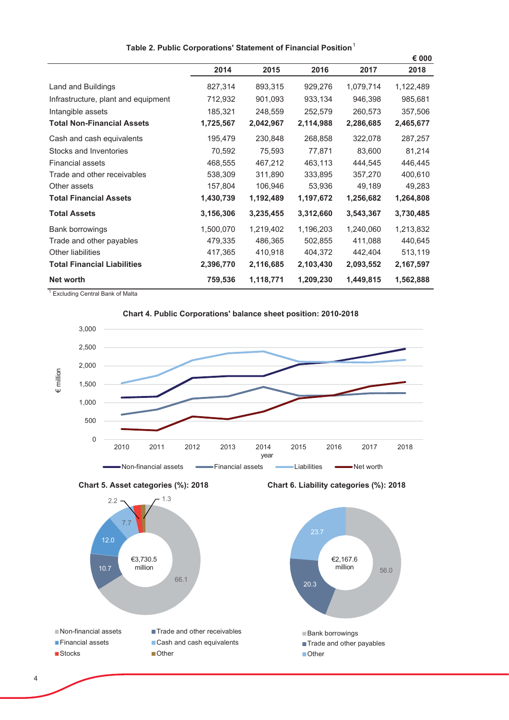|                                     |           |           |           |           | € 000     |
|-------------------------------------|-----------|-----------|-----------|-----------|-----------|
|                                     | 2014      | 2015      | 2016      | 2017      | 2018      |
| Land and Buildings                  | 827,314   | 893,315   | 929,276   | 1,079,714 | 1,122,489 |
| Infrastructure, plant and equipment | 712,932   | 901,093   | 933,134   | 946,398   | 985,681   |
| Intangible assets                   | 185,321   | 248,559   | 252,579   | 260,573   | 357,506   |
| <b>Total Non-Financial Assets</b>   | 1,725,567 | 2,042,967 | 2,114,988 | 2,286,685 | 2,465,677 |
| Cash and cash equivalents           | 195,479   | 230,848   | 268,858   | 322,078   | 287,257   |
| Stocks and Inventories              | 70,592    | 75,593    | 77,871    | 83,600    | 81,214    |
| <b>Financial assets</b>             | 468,555   | 467,212   | 463,113   | 444,545   | 446,445   |
| Trade and other receivables         | 538,309   | 311,890   | 333,895   | 357,270   | 400,610   |
| Other assets                        | 157,804   | 106,946   | 53,936    | 49,189    | 49,283    |
| <b>Total Financial Assets</b>       | 1,430,739 | 1,192,489 | 1,197,672 | 1,256,682 | 1,264,808 |
| <b>Total Assets</b>                 | 3,156,306 | 3,235,455 | 3,312,660 | 3,543,367 | 3,730,485 |
| Bank borrowings                     | 1,500,070 | 1,219,402 | 1,196,203 | 1,240,060 | 1,213,832 |
| Trade and other payables            | 479,335   | 486,365   | 502,855   | 411,088   | 440,645   |
| <b>Other liabilities</b>            | 417,365   | 410,918   | 404,372   | 442,404   | 513,119   |
| <b>Total Financial Liabilities</b>  | 2,396,770 | 2,116,685 | 2,103,430 | 2,093,552 | 2,167,597 |
| Net worth                           | 759,536   | 1,118,771 | 1,209,230 | 1,449,815 | 1,562,888 |

### Table 2. Public Corporations' Statement of Financial Position<sup>1</sup>

<sup>1</sup> Excluding Central Bank of Malta

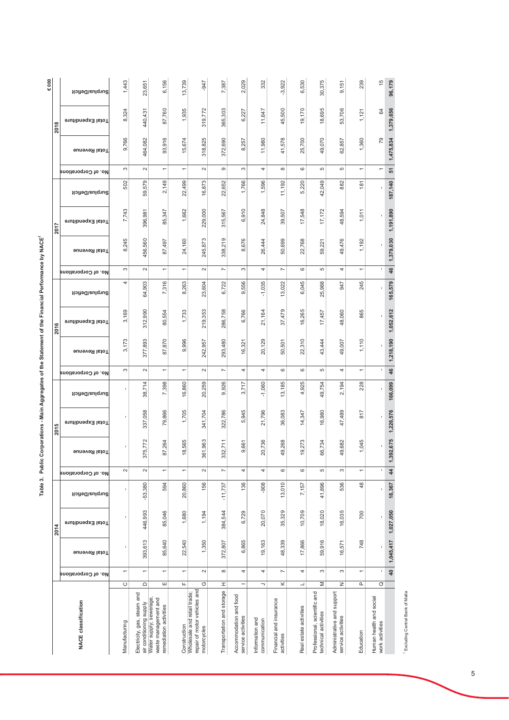|                                                                            |                          |                          |                      | 2014              |                 |                          |                      | 2015              |                 |                          |                      | 2016              |                 |                          |                      | 2017              |                       |                          |               | 2018              | $\epsilon$ 000  |
|----------------------------------------------------------------------------|--------------------------|--------------------------|----------------------|-------------------|-----------------|--------------------------|----------------------|-------------------|-----------------|--------------------------|----------------------|-------------------|-----------------|--------------------------|----------------------|-------------------|-----------------------|--------------------------|---------------|-------------------|-----------------|
| <b>NACE classification</b>                                                 |                          | No. of Corporations      | <b>Fotal Revenue</b> | Total Expenditure | Surplus/Deficit | No. of Corporations      | <b>Total Revenue</b> | Fotal Expenditure | Surplus/Deficit | No. of Corporations      | <b>Total Revenue</b> | Fotal Expenditure | Surplus/Deficit | No. of Corporations      | <b>Total Revenue</b> | Total Expenditure | Surplus/Deficit       | No. of Corporations      | Total Revenue | Total Expenditure | Surplus/Deficit |
| Manufacturing                                                              | $\circ$                  | $\overline{\phantom{0}}$ | I                    | t                 | ŗ               | $\sim$                   |                      |                   |                 | S                        | 173<br>က်            | 3,169             | 4               | S                        | 245<br>ထ             | 7,743             | 502                   | S                        | 9,766         | 324<br>$\infty$   | 1,443           |
| Electricity, gas, steam and<br>air conditioning supply                     | $\mathop\square$         | $\overline{\phantom{0}}$ | 393,613              | 446,993           | $-53,380$       | $\sim$                   | 375,772              | 337,058           | 38,714          | $\sim$                   | 377,893              | 312,990           | 64,903          | $\sim$                   | 456,560              | 396,981           | 579<br>59,            | $\sim$                   | 464,082       | 440,431           | 23,651          |
| Water supply; sewerage,<br>waste management and<br>remediation activities  | ш                        | $\overline{ }$           | 85,640               | 85,046            | 594             | $\overline{ }$           | 264<br>87,           | 79,866            | 7,398           | $\overline{ }$           | .870<br>87,          | 554<br>80,        | 7,316           | $\overline{\phantom{0}}$ | <b>497</b><br>87,    | 347<br>85,        | 2,149                 | $\overline{\phantom{0}}$ | 93,916        | 87,760            | 6,156           |
| Construction                                                               | Щ                        | $\overline{\phantom{0}}$ | 22,540               | 1,680             | 20,860          | $\overline{\phantom{0}}$ | 565<br>$\frac{8}{1}$ | 1,705             | 16,860          | $\overline{\phantom{0}}$ | 996<br>တ             | 1,733             | 8,263           | $\overline{\phantom{0}}$ | 24,160               | 1,662             | 22,499                | $\overline{\phantom{0}}$ | 15,674        | 1,935             | 13,739          |
| repair of motor vehicles and<br>Wholesale and retail trade;<br>motorcycles | O                        | $\sim$                   | 1,350                | 1,194             | 156             | $\sim$                   | 361,963              | 341,704           | 20,259          | $\sim$                   | ,957<br>242,         | 219,353           | 23,604          | $\sim$                   | 245,873              | 229,000           | 873<br>16,            | $\sim$                   | 318,825       | 319,772           | -947            |
| Transportation and storage                                                 | I                        | ${}^{\circ}$             | 372,807              | 384,544           | $-11,737$       | $\overline{ }$           | 332,711              | 322,786           | 926<br>တ        | $\overline{ }$           | 293,480              | 286,758           | 6,722           | $\overline{ }$           | 338,219              | 315,567           | 22,652                | ၜ                        | 372,690       | 365,303           | 7,387           |
| Accommodation and food<br>service activities                               | $\overline{\phantom{0}}$ | 4                        | 6,865                | 6,729             | 136             | 4                        | ,661<br>ၜ            | 5,945             | 3,717           | 4                        | 16,321               | 6,766             | 556<br>ၜ        | S                        | 676<br>ထ             | 910<br>ဖ          | 1,766                 | S                        | 8,257         | 6,227             | 2,029           |
| Information and<br>communication                                           | $\lnot$                  | 4                        | 19,163               | 20,070            | -908            | 4                        | 20,736               | 21,796            | $-1,060$        | 4                        | 20,129               | 21,164            | $-1,035$        | 4                        | 444<br>26,           | 848<br>24,        | 596<br>$\overline{ }$ | 4                        | 11,980        | 11,647            | 332             |
| Financial and insurance<br>activities                                      | ×                        | $\overline{ }$           | 48,339               | 35,329            | 13,010          | 6                        | 49,268               | 36,083            | 13,185          | 6                        | 501<br>SÕ,           | 479<br>57         | 13,022          | $\overline{ }$           | 699<br>50,           | 507<br>39,        | 11,192                | ${}^{\circ}$             | 41,578        | 45,500            | $-3,922$        |
| Real estate activities                                                     | $\overline{\phantom{a}}$ | 4                        | 17,866               | 10,709            | 7,157           | $\circ$                  | 19,273               | 14,347            | ,925<br>4       | G                        | 22,310               | 16,265            | 6,045           | $\circ$                  | 768<br>22,           | 17,548            | ,220<br>ທ່            | $\circ$                  | 25,700        | 19,170            | 6,530           |
| Professional, scientific and<br>technical activities                       | Σ                        | S                        | 59,916               | 18,020            | 41,896          | 5                        | 66,734               | 16,980            | 49,754          | Б                        | 43,444               | 17,457            | 25,988          | 5                        | 221<br>89,           | 17,172            | 42,049                | Б                        | 49,070        | 18,695            | 30,375          |
| Administrative and support<br>service activities                           | z                        | S                        | 16,571               | 16,035            | 536             | 3                        | 49,682               | 47,489            | 2,194           | 4                        | 49,007               | 48,060            | 947             | 4                        | 49,476               | 48,594            | 882                   | Б                        | 62,857        | 53,706            | 9,151           |
| Education                                                                  | Δ.                       | $\overline{\phantom{0}}$ | 748                  | 700               | 48              | $\overline{ }$           | 1,045                | 817               | 228             | $\overline{ }$           | 1,110                | 865               | 245             | $\overline{ }$           | 1,192                | 1,011             | 181                   | $\overline{ }$           | 1,360         | 1,121             | 239             |
| Human health and social<br>work activities                                 | $\circ$                  | ٠                        | ı                    | f,                | f,              |                          |                      |                   |                 |                          |                      | f,                |                 |                          |                      |                   |                       |                          | 79            | 24                | $\frac{6}{3}$   |
|                                                                            |                          | $rac{1}{4}$              | 1,045,417            | 1,027,050         | 18,367          | $\frac{4}{3}$            | 1,392,675            | 1,226,576         | 166,099         | 46                       | 1,218,190            | 1,052,612         | 165,579         | 46                       | 1,379,030            | 1,191,890         | 187,140               | 51                       | 1,475,834     | 1,379,656         | 96,179          |

Table 3. Public Corporations - Main Aggregates of the Statement of the Financial Performance by NACE1

<sup>1</sup> Excluding Central Bank of Malta

 $\overline{5}$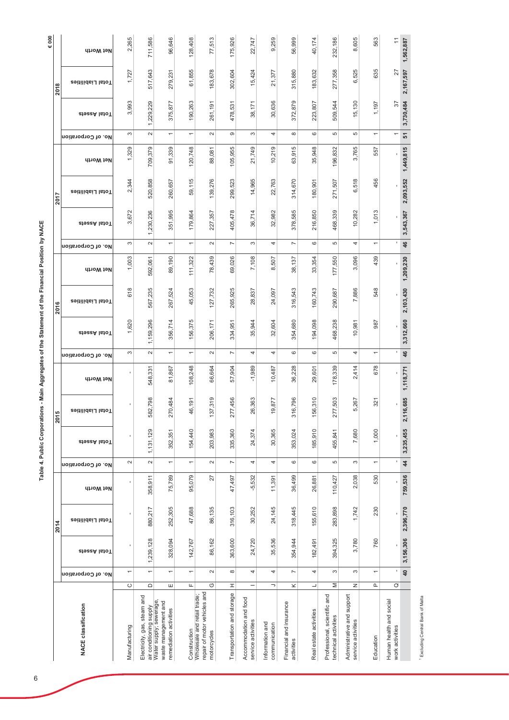| $\epsilon$ 000 |                      | Net Worth                  | 2,265                    | 711,586                                                | 96,646                                                                    | 128,408                  | 77,513                                                                     | 175,926                    | 22,747                                       | 9,259                            | 56,999                                | 40,174                   | 232,186                                              | 8,605                                            | 563                           | $\tilde{t}$                                | 1,562,887       |
|----------------|----------------------|----------------------------|--------------------------|--------------------------------------------------------|---------------------------------------------------------------------------|--------------------------|----------------------------------------------------------------------------|----------------------------|----------------------------------------------|----------------------------------|---------------------------------------|--------------------------|------------------------------------------------------|--------------------------------------------------|-------------------------------|--------------------------------------------|-----------------|
|                | 2018                 | Total Liabilities          | 1,727                    | 517,643                                                | 279,231                                                                   | 61,855                   | 183,678                                                                    | 302,604                    | 15,424                                       | 21,377                           | 315,880                               | 183,632                  | 277,358                                              | 6,525                                            | 635                           | 27                                         | 2,167,597       |
|                |                      | cteek lstoT                | 3,993                    | 1,229,229                                              | 375,877                                                                   | 190,263                  | 261,191                                                                    | 478,531                    | 38,171                                       | 30,636                           | 372,879                               | 223,807                  | 544<br>509,                                          | 15,130                                           | 1,197                         | $\overline{\mathcal{E}}$                   | 3,730,484       |
|                |                      | No. of Corporation         | S                        | $\sim$                                                 | $\overline{}$                                                             | $\overline{\phantom{0}}$ | $\sim$                                                                     | $\circ$                    | S                                            | 4                                |                                       | $\circ$                  | ъ                                                    | 5                                                | $\overline{\phantom{0}}$      | $\overline{\phantom{0}}$                   | 51              |
|                |                      | Net Worth                  | 1,329                    | 709,379                                                | 91,339                                                                    | 120,748                  | 88,081                                                                     | 105,955                    | 21,749                                       | 10,219                           | 63,915                                | 35,948                   | 196,832                                              | 3,765                                            | 557                           |                                            | 1,449,815       |
|                | 2017                 | Total Liabilities          | 2,344                    | 520,858                                                | 260,657                                                                   | 59,115                   | 139,276                                                                    | 299,523                    | 14,965                                       | 22,763                           | 314,670                               | 180,901                  | 271,507                                              | 518<br>ဖ                                         | 456                           |                                            | 2,093,552       |
|                |                      | ziezeA lstoT               | 3,672                    | 1,230,236                                              | 351,995                                                                   | 179,864                  | 227,357                                                                    | 405,478                    | 36,714                                       | 32,982                           | 378,585                               | 216,850                  | 468,339                                              | 10,282                                           | 1,013                         |                                            | 3,543,367       |
|                |                      | No. of Corporation         | S                        | $\sim$                                                 | $\overline{\phantom{0}}$                                                  | $\leftarrow$             | $\sim$                                                                     | $\overline{ }$             | S                                            | 4                                | $\overline{\phantom{a}}$              | $\circ$                  | 5                                                    | 4                                                | $\overline{ }$                | ٠                                          | 46              |
|                |                      | Net Worth                  | 1,003                    | 592,061                                                | 89,190                                                                    | 111,322                  | 78,439                                                                     | 69,026                     | 7,108                                        | 8,507                            | 38,137                                | 33,354                   | 177,550                                              | 3,096                                            | 439                           |                                            | 1,209,230       |
|                | 2016                 | Total Liabilities          | 618                      | 567,235                                                | 267,524                                                                   | 45,053                   | 127,732                                                                    | 265,925                    | 28,837                                       | 24,097                           | 316,543                               | 160,743                  | 290,687                                              | 7,886                                            | 548                           |                                            | 2,103,430       |
|                |                      | ziezeA lstoT               | 1,620                    | 1,159,296                                              | 356,714                                                                   | 156,375                  | 206,171                                                                    | 334,951                    | 35,944                                       | 32,604                           | 354,680                               | 194,098                  | 468,238                                              | 10,981                                           | 987                           |                                            | 3,312,660       |
|                |                      | No. of Corporation         | S                        | $\sim$                                                 | $\overline{}$                                                             | $\overline{\phantom{0}}$ | $\sim$                                                                     | $\overline{ }$             | 4                                            | 4                                | $\circ$                               | $\circ$                  | ъ                                                    | 4                                                | $\overline{}$                 |                                            | $\frac{4}{6}$   |
|                |                      | Net Worth                  |                          | 548,331                                                | 81,867                                                                    | 108,248                  | 66,664                                                                     | 57,904                     | $-1,989$                                     | 10,487                           | 36,228                                | 29,601                   | 178,339                                              | 2,414                                            | 678                           | ı                                          | 1,118,771       |
|                | ю<br>$\overline{20}$ | Total Liabilities          | ٠                        | 582,798                                                | 270,484                                                                   | 46,191                   | 37,319                                                                     | 277,456                    | 26,363                                       | 19,877                           | 316,796                               | 56,310                   | 277,503                                              | 5,267                                            | 321                           |                                            | 2,116,685       |
|                |                      | zieszA lstoT               |                          | 1,131,129                                              | 352,351                                                                   | 154,440                  | 203,983                                                                    | 335,360                    | 24,374                                       | 30,365                           | 353,024                               | 185,910                  | 455,841                                              | 7,680                                            | 1,000                         |                                            | 3,235,455       |
|                |                      | No. of Corporation         | $\sim$                   | $\sim$                                                 | $\overline{\phantom{0}}$                                                  | $\overline{\phantom{0}}$ | $\sim$                                                                     | $\overline{ }$             | 4                                            | 4                                | $\circ$                               | $\circ$                  | Б                                                    | S                                                | $\overline{\phantom{0}}$      |                                            | $\frac{4}{4}$   |
|                |                      | Net Worth                  | ı                        | 358,911                                                | 75,789                                                                    | 95,079                   | 27                                                                         | 47,497                     | $-5,532$                                     | 11,391                           | 36,499                                | 26,881                   | 110,427                                              | 2,038                                            | 530                           |                                            | 759,536         |
|                | 2014                 | Total Liabilities          | ı                        | 880,217                                                | 252,305                                                                   | 47,688                   | 86,135                                                                     | 316,103                    | 30,252                                       | 24,145                           | 318,445                               | 155,610                  | 283,898                                              | 1,742                                            | 230                           | ı                                          | 2,396,770       |
|                |                      | ctoca latoT                |                          | 1,239,128                                              | 328,094                                                                   | 142,767                  | 86,162                                                                     | 363,600                    | 24,720                                       | 35,536                           | 354,944                               | 182,491                  | 394,325                                              | 3,780                                            | 760                           |                                            | 3,156,306       |
|                |                      | No. of Corporation         | $\overline{\phantom{0}}$ | $\overline{ }$                                         | $\overline{ }$                                                            | $\leftarrow$             | $\sim$                                                                     | $\infty$                   | 4                                            | 4                                | $\overline{ }$                        | 4                        | 3                                                    | S                                                | $\overline{}$                 | ı                                          | $\overline{40}$ |
|                |                      |                            | $\circ$                  | $\mathsf{\Omega}$                                      | Ш                                                                         | Щ                        | O                                                                          | I                          | $\overline{\phantom{0}}$                     | $\overline{\phantom{m}}$         | $\times$                              | $\overline{\phantom{a}}$ | Σ                                                    | Z                                                | $\mathbf{\underline{\Omega}}$ | $\circ$                                    |                 |
|                |                      | <b>NACE classification</b> | Manufacturing            | Electricity, gas, steam and<br>air conditioning supply | Water supply; sewerage,<br>waste management and<br>remediation activities | Construction             | repair of motor vehicles and<br>Wholesale and retail trade;<br>motorcycles | Transportation and storage | Accommodation and food<br>service activities | Information and<br>communication | Financial and insurance<br>activities | Real estate activities   | Professional, scientific and<br>technical activities | Administrative and support<br>service activities | Education                     | Human health and social<br>work activities |                 |

<sup>1</sup> Excluding Central Bank of Malta

 $\overline{6}$ 

# Table 4. Public Corporations - Main Aggregates of the Statement of the Financial Position by NACE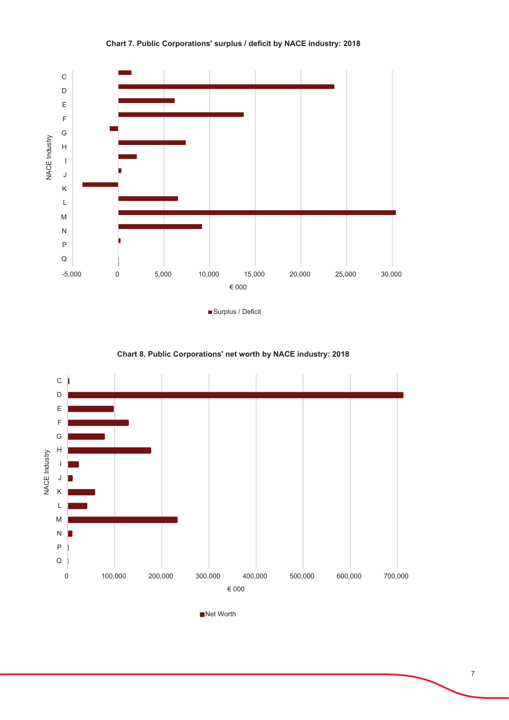

Chart 7. Public Corporations' surplus / deficit by NACE industry: 2018





Net Worth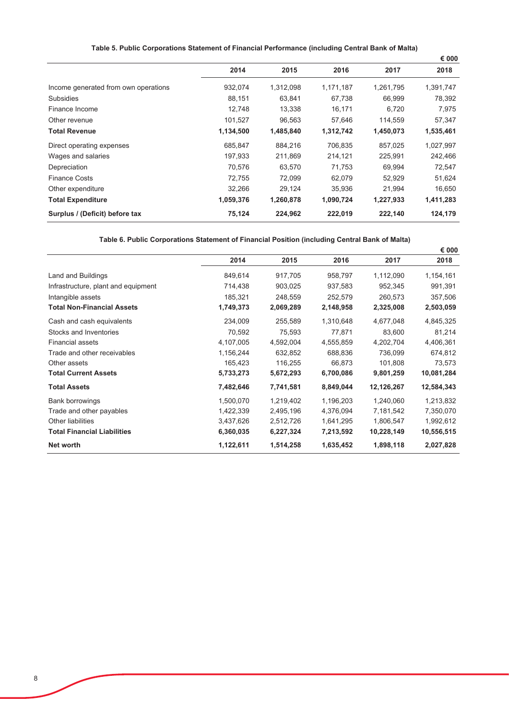# Table 5. Public Corporations Statement of Financial Performance (including Central Bank of Malta)

|                                      |           |           |           |           | € 000     |
|--------------------------------------|-----------|-----------|-----------|-----------|-----------|
|                                      | 2014      | 2015      | 2016      | 2017      | 2018      |
| Income generated from own operations | 932,074   | 1,312,098 | 1,171,187 | 1,261,795 | 1,391,747 |
| <b>Subsidies</b>                     | 88,151    | 63,841    | 67,738    | 66,999    | 78,392    |
| Finance Income                       | 12,748    | 13,338    | 16,171    | 6,720     | 7,975     |
| Other revenue                        | 101,527   | 96,563    | 57,646    | 114,559   | 57,347    |
| <b>Total Revenue</b>                 | 1,134,500 | 1,485,840 | 1,312,742 | 1,450,073 | 1,535,461 |
| Direct operating expenses            | 685,847   | 884,216   | 706,835   | 857,025   | 1,027,997 |
| Wages and salaries                   | 197,933   | 211,869   | 214,121   | 225,991   | 242,466   |
| Depreciation                         | 70,576    | 63,570    | 71,753    | 69,994    | 72,547    |
| <b>Finance Costs</b>                 | 72,755    | 72,099    | 62,079    | 52,929    | 51,624    |
| Other expenditure                    | 32,266    | 29,124    | 35,936    | 21.994    | 16,650    |
| <b>Total Expenditure</b>             | 1,059,376 | 1,260,878 | 1,090,724 | 1,227,933 | 1,411,283 |
| Surplus / (Deficit) before tax       | 75,124    | 224,962   | 222,019   | 222,140   | 124,179   |

Table 6. Public Corporations Statement of Financial Position (including Central Bank of Malta)

|                                     |           |           |           |            | € 000      |
|-------------------------------------|-----------|-----------|-----------|------------|------------|
|                                     | 2014      | 2015      | 2016      | 2017       | 2018       |
| Land and Buildings                  | 849,614   | 917,705   | 958,797   | 1,112,090  | 1,154,161  |
| Infrastructure, plant and equipment | 714,438   | 903,025   | 937,583   | 952,345    | 991,391    |
| Intangible assets                   | 185,321   | 248,559   | 252,579   | 260,573    | 357,506    |
| <b>Total Non-Financial Assets</b>   | 1,749,373 | 2,069,289 | 2,148,958 | 2,325,008  | 2,503,059  |
| Cash and cash equivalents           | 234,009   | 255,589   | 1,310,648 | 4,677,048  | 4,845,325  |
| Stocks and Inventories              | 70,592    | 75,593    | 77,871    | 83,600     | 81,214     |
| <b>Financial assets</b>             | 4,107,005 | 4,592,004 | 4,555,859 | 4,202,704  | 4,406,361  |
| Trade and other receivables         | 1,156,244 | 632,852   | 688,836   | 736,099    | 674,812    |
| Other assets                        | 165,423   | 116,255   | 66,873    | 101,808    | 73,573     |
| <b>Total Current Assets</b>         | 5,733,273 | 5,672,293 | 6,700,086 | 9,801,259  | 10,081,284 |
| <b>Total Assets</b>                 | 7,482,646 | 7,741,581 | 8,849,044 | 12,126,267 | 12,584,343 |
| Bank borrowings                     | 1,500,070 | 1,219,402 | 1,196,203 | 1,240,060  | 1,213,832  |
| Trade and other payables            | 1,422,339 | 2,495,196 | 4,376,094 | 7,181,542  | 7,350,070  |
| <b>Other liabilities</b>            | 3,437,626 | 2,512,726 | 1,641,295 | 1,806,547  | 1,992,612  |
| <b>Total Financial Liabilities</b>  | 6,360,035 | 6,227,324 | 7,213,592 | 10,228,149 | 10,556,515 |
| Net worth                           | 1,122,611 | 1,514,258 | 1,635,452 | 1,898,118  | 2,027,828  |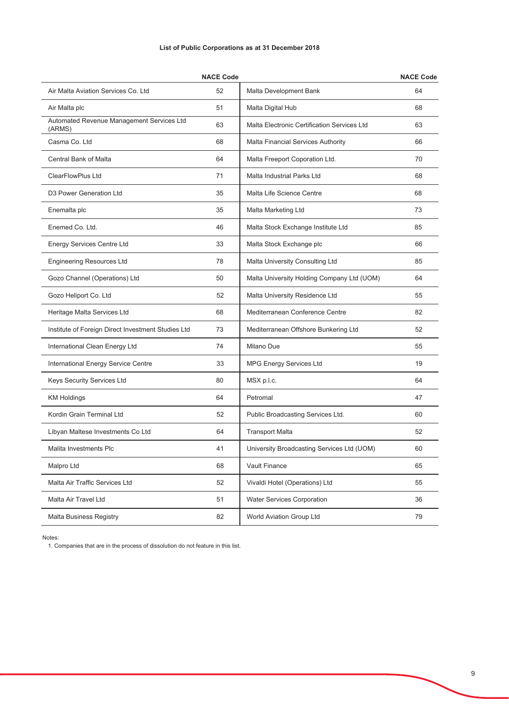|  | List of Public Corporations as at 31 December 2018 |  |  |  |
|--|----------------------------------------------------|--|--|--|
|--|----------------------------------------------------|--|--|--|

|                                                     | <b>NACE Code</b> |                                             | <b>NACE Code</b> |
|-----------------------------------------------------|------------------|---------------------------------------------|------------------|
| Air Malta Aviation Services Co. Ltd                 | 52               | Malta Development Bank                      | 64               |
| Air Malta plc                                       | 51               | Malta Digital Hub                           | 68               |
| Automated Revenue Management Services Ltd<br>(ARMS) | 63               | Malta Electronic Certification Services Ltd | 63               |
| Casma Co. Ltd                                       | 68               | Malta Financial Services Authority          | 66               |
| <b>Central Bank of Malta</b>                        | 64               | Malta Freeport Coporation Ltd.              | 70               |
| <b>ClearFlowPlus Ltd</b>                            | 71               | <b>Malta Industrial Parks Ltd</b>           | 68               |
| D3 Power Generation Ltd                             | 35               | Malta Life Science Centre                   | 68               |
| Enemalta plc                                        | 35               | Malta Marketing Ltd                         | 73               |
| Enemed Co. Ltd.                                     | 46               | Malta Stock Exchange Institute Ltd          | 85               |
| <b>Energy Services Centre Ltd</b>                   | 33               | Malta Stock Exchange plc                    | 66               |
| <b>Engineering Resources Ltd</b>                    | 78               | Malta University Consulting Ltd             | 85               |
| Gozo Channel (Operations) Ltd                       | 50               | Malta University Holding Company Ltd (UOM)  | 64               |
| Gozo Heliport Co. Ltd                               | 52               | Malta University Residence Ltd              | 55               |
| Heritage Malta Services Ltd                         | 68               | Mediterranean Conference Centre             | 82               |
| Institute of Foreign Direct Investment Studies Ltd  | 73               | Mediterranean Offshore Bunkering Ltd        | 52               |
| International Clean Energy Ltd                      | 74               | Milano Due                                  | 55               |
| International Energy Service Centre                 | 33               | <b>MPG Energy Services Ltd</b>              | 19               |
| Keys Security Services Ltd                          | 80               | MSX p.l.c.                                  | 64               |
| <b>KM Holdings</b>                                  | 64               | Petromal                                    | 47               |
| Kordin Grain Terminal Ltd                           | 52               | Public Broadcasting Services Ltd.           | 60               |
| Libyan Maltese Investments Co Ltd                   | 64               | <b>Transport Malta</b>                      | 52               |
| Malita Investments Plc                              | 41               | University Broadcasting Services Ltd (UOM)  | 60               |
| Malpro Ltd                                          | 68               | Vault Finance                               | 65               |
| Malta Air Traffic Services Ltd                      | 52               | Vivaldi Hotel (Operations) Ltd              | 55               |
| Malta Air Travel Ltd                                | 51               | <b>Water Services Corporation</b>           | 36               |
| <b>Malta Business Registry</b>                      | 82               | World Aviation Group Ltd                    | 79               |

Notes:

1. Companies that are in the process of dissolution do not feature in this list.